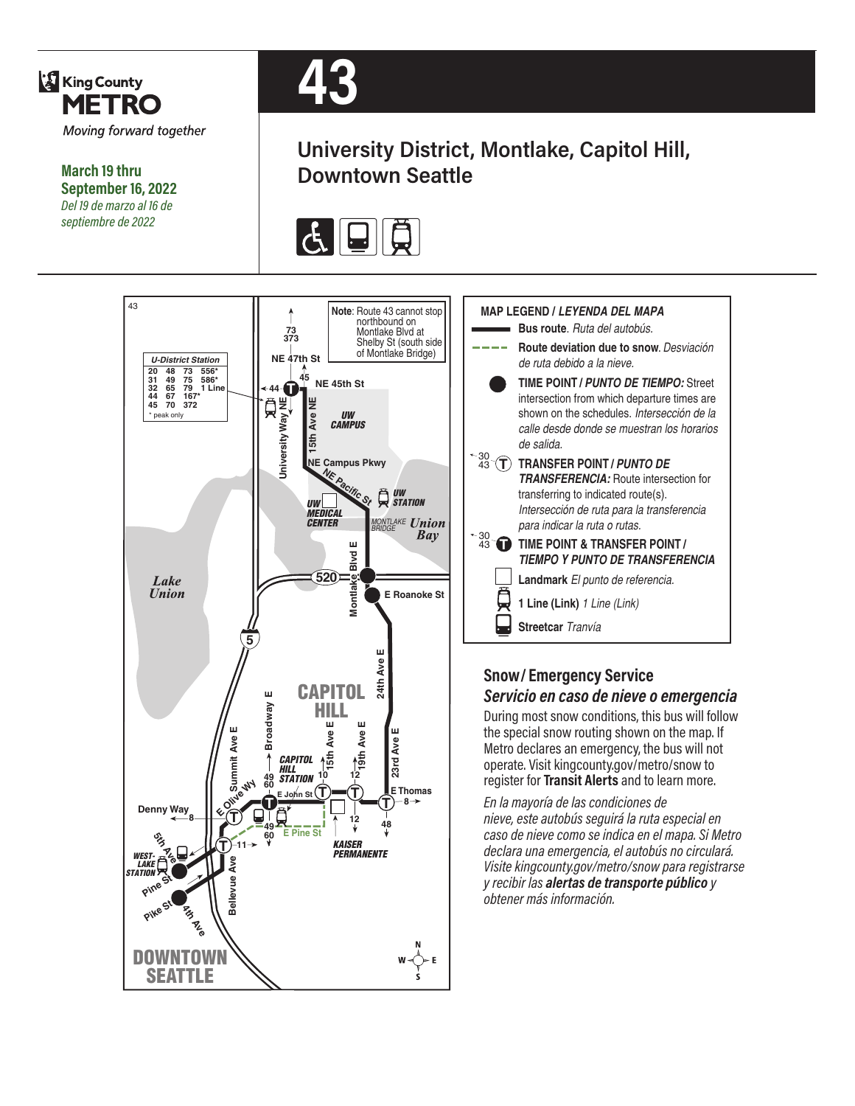

**March 19 thru September 16, 2022** *Del 19 de marzo al 16 de septiembre de 2022*



## **University District, Montlake, Capitol Hill, Downtown Seattle**